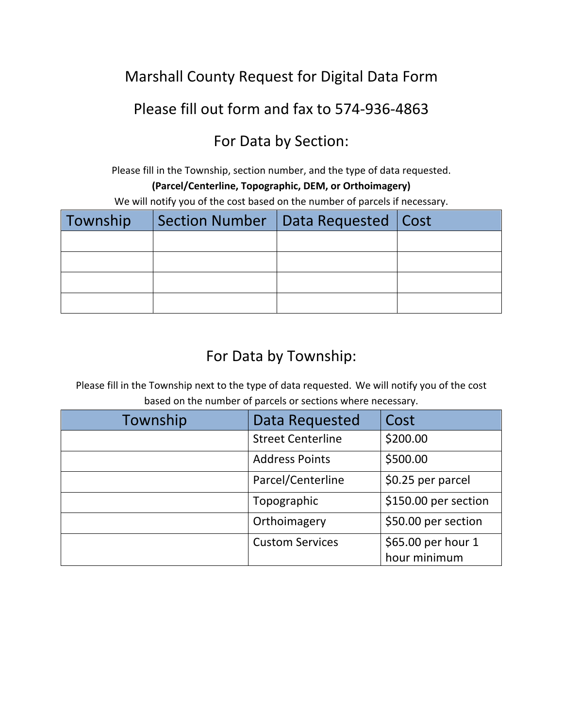# Marshall County Request for Digital Data Form

#### Please fill out form and fax to 574-936-4863

# For Data by Section:

Please fill in the Township, section number, and the type of data requested.

#### **(Parcel/Centerline, Topographic, DEM, or Orthoimagery)**

We will notify you of the cost based on the number of parcels if necessary.

| Township   Section Number   Data Requested   Cost |  |
|---------------------------------------------------|--|
|                                                   |  |
|                                                   |  |
|                                                   |  |
|                                                   |  |

# For Data by Township:

Please fill in the Township next to the type of data requested. We will notify you of the cost based on the number of parcels or sections where necessary.

| Township | Data Requested           | Cost                 |
|----------|--------------------------|----------------------|
|          | <b>Street Centerline</b> | \$200.00             |
|          | <b>Address Points</b>    | \$500.00             |
|          | Parcel/Centerline        | \$0.25 per parcel    |
|          | Topographic              | \$150.00 per section |
|          | Orthoimagery             | \$50.00 per section  |
|          | <b>Custom Services</b>   | \$65.00 per hour 1   |
|          |                          | hour minimum         |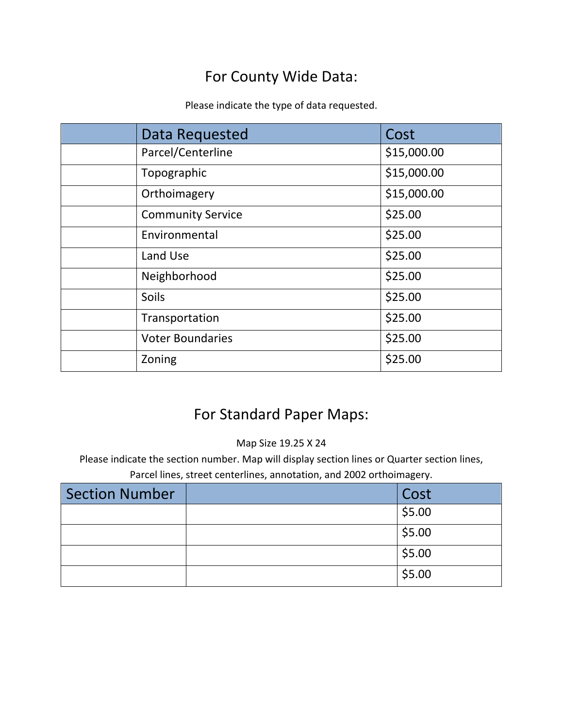# For County Wide Data:

Please indicate the type of data requested.

| Data Requested           | Cost        |
|--------------------------|-------------|
| Parcel/Centerline        | \$15,000.00 |
| Topographic              | \$15,000.00 |
| Orthoimagery             | \$15,000.00 |
| <b>Community Service</b> | \$25.00     |
| Environmental            | \$25.00     |
| Land Use                 | \$25.00     |
| Neighborhood             | \$25.00     |
| Soils                    | \$25.00     |
| Transportation           | \$25.00     |
| <b>Voter Boundaries</b>  | \$25.00     |
| Zoning                   | \$25.00     |

# For Standard Paper Maps:

Map Size 19.25 X 24

Please indicate the section number. Map will display section lines or Quarter section lines, Parcel lines, street centerlines, annotation, and 2002 orthoimagery.

| <b>Section Number</b> | Cost   |
|-----------------------|--------|
|                       | \$5.00 |
|                       | \$5.00 |
|                       | \$5.00 |
|                       | \$5.00 |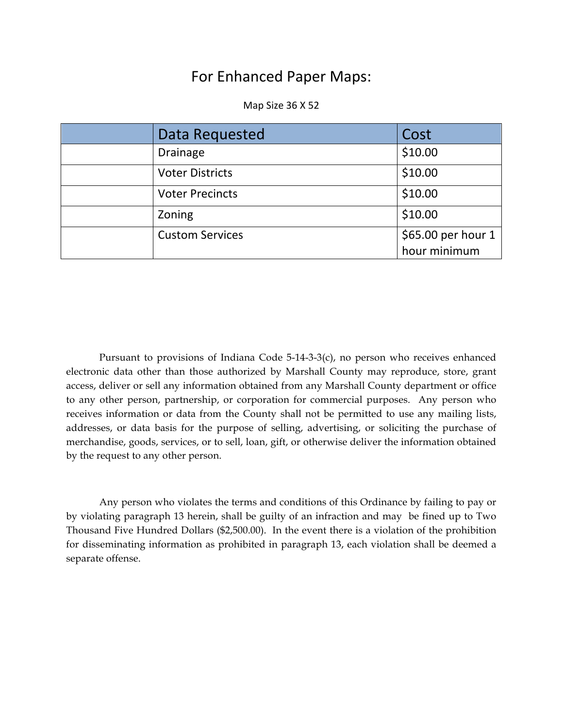#### For Enhanced Paper Maps:

Map Size 36 X 52

| Data Requested         | Cost                               |
|------------------------|------------------------------------|
| Drainage               | \$10.00                            |
| <b>Voter Districts</b> | \$10.00                            |
| <b>Voter Precincts</b> | \$10.00                            |
| Zoning                 | \$10.00                            |
| <b>Custom Services</b> | \$65.00 per hour 1<br>hour minimum |

Pursuant to provisions of Indiana Code 5-14-3-3(c), no person who receives enhanced electronic data other than those authorized by Marshall County may reproduce, store, grant access, deliver or sell any information obtained from any Marshall County department or office to any other person, partnership, or corporation for commercial purposes. Any person who receives information or data from the County shall not be permitted to use any mailing lists, addresses, or data basis for the purpose of selling, advertising, or soliciting the purchase of merchandise, goods, services, or to sell, loan, gift, or otherwise deliver the information obtained by the request to any other person.

Any person who violates the terms and conditions of this Ordinance by failing to pay or by violating paragraph 13 herein, shall be guilty of an infraction and may be fined up to Two Thousand Five Hundred Dollars (\$2,500.00). In the event there is a violation of the prohibition for disseminating information as prohibited in paragraph 13, each violation shall be deemed a separate offense.